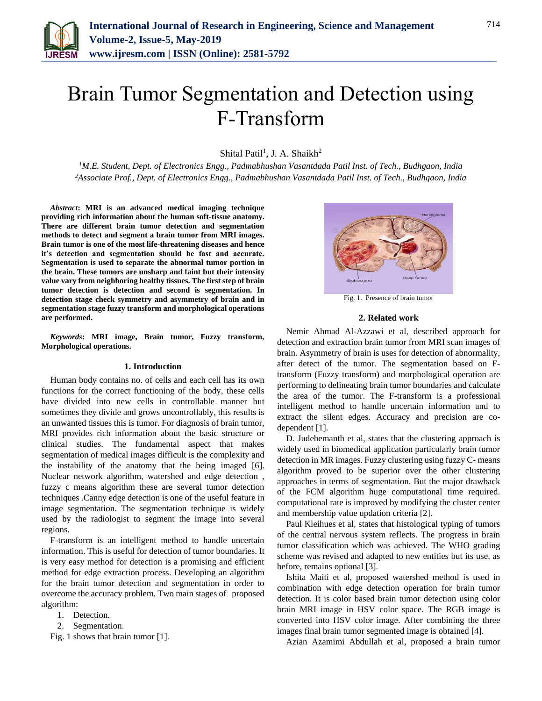

# Brain Tumor Segmentation and Detection using F-Transform

Shital Patil<sup>1</sup>, J. A. Shaikh<sup>2</sup>

*<sup>1</sup>M.E. Student, Dept. of Electronics Engg., Padmabhushan Vasantdada Patil Inst. of Tech., Budhgaon, India 2Associate Prof., Dept. of Electronics Engg., Padmabhushan Vasantdada Patil Inst. of Tech., Budhgaon, India*

*Abstract***: MRI is an advanced medical imaging technique providing rich information about the human soft-tissue anatomy. There are different brain tumor detection and segmentation methods to detect and segment a brain tumor from MRI images. Brain tumor is one of the most life-threatening diseases and hence it's detection and segmentation should be fast and accurate. Segmentation is used to separate the abnormal tumor portion in the brain. These tumors are unsharp and faint but their intensity value vary from neighboring healthy tissues. The first step of brain tumor detection is detection and second is segmentation. In detection stage check symmetry and asymmetry of brain and in segmentation stage fuzzy transform and morphological operations are performed.**

*Keywords***: MRI image, Brain tumor, Fuzzy transform, Morphological operations.**

## **1. Introduction**

Human body contains no. of cells and each cell has its own functions for the correct functioning of the body, these cells have divided into new cells in controllable manner but sometimes they divide and grows uncontrollably, this results is an unwanted tissues this is tumor. For diagnosis of brain tumor, MRI provides rich information about the basic structure or clinical studies. The fundamental aspect that makes segmentation of medical images difficult is the complexity and the instability of the anatomy that the being imaged [6]. Nuclear network algorithm, watershed and edge detection , fuzzy c means algorithm these are several tumor detection techniques .Canny edge detection is one of the useful feature in image segmentation. The segmentation technique is widely used by the radiologist to segment the image into several regions.

F-transform is an intelligent method to handle uncertain information. This is useful for detection of tumor boundaries. It is very easy method for detection is a promising and efficient method for edge extraction process. Developing an algorithm for the brain tumor detection and segmentation in order to overcome the accuracy problem. Two main stages of proposed algorithm:

- 1. Detection.
- 2. Segmentation.

Fig. 1 shows that brain tumor [1].



Fig. 1. Presence of brain tumor

#### **2. Related work**

Nemir Ahmad Al-Azzawi et al, described approach for detection and extraction brain tumor from MRI scan images of brain. Asymmetry of brain is uses for detection of abnormality, after detect of the tumor. The segmentation based on Ftransform (Fuzzy transform) and morphological operation are performing to delineating brain tumor boundaries and calculate the area of the tumor. The F-transform is a professional intelligent method to handle uncertain information and to extract the silent edges. Accuracy and precision are codependent [1].

D. Judehemanth et al, states that the clustering approach is widely used in biomedical application particularly brain tumor detection in MR images. Fuzzy clustering using fuzzy C- means algorithm proved to be superior over the other clustering approaches in terms of segmentation. But the major drawback of the FCM algorithm huge computational time required. computational rate is improved by modifying the cluster center and membership value updation criteria [2].

Paul Kleihues et al, states that histological typing of tumors of the central nervous system reflects. The progress in brain tumor classification which was achieved. The WHO grading scheme was revised and adapted to new entities but its use, as before, remains optional [3].

Ishita Maiti et al, proposed watershed method is used in combination with edge detection operation for brain tumor detection. It is color based brain tumor detection using color brain MRI image in HSV color space. The RGB image is converted into HSV color image. After combining the three images final brain tumor segmented image is obtained [4].

Azian Azamimi Abdullah et al, proposed a brain tumor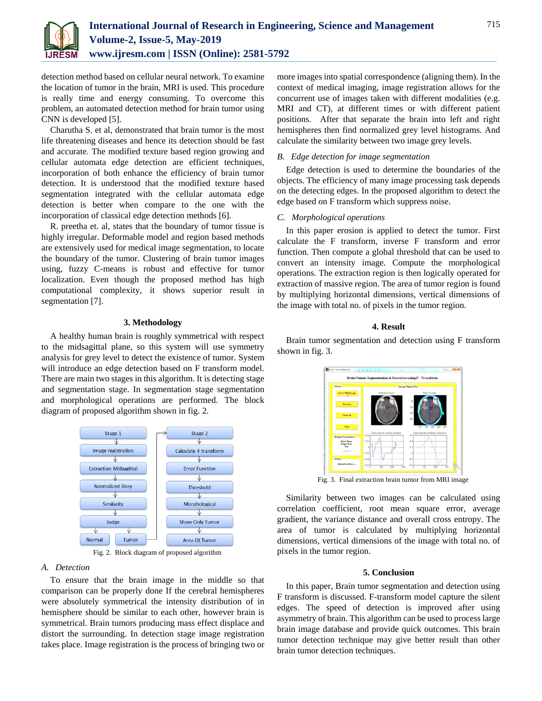

detection method based on cellular neural network. To examine the location of tumor in the brain, MRI is used. This procedure is really time and energy consuming. To overcome this problem, an automated detection method for brain tumor using CNN is developed [5].

Charutha S. et al, demonstrated that brain tumor is the most life threatening diseases and hence its detection should be fast and accurate. The modified texture based region growing and cellular automata edge detection are efficient techniques, incorporation of both enhance the efficiency of brain tumor detection. It is understood that the modified texture based segmentation integrated with the cellular automata edge detection is better when compare to the one with the incorporation of classical edge detection methods [6].

R. preetha et. al, states that the boundary of tumor tissue is highly irregular. Deformable model and region based methods are extensively used for medical image segmentation, to locate the boundary of the tumor. Clustering of brain tumor images using, fuzzy C-means is robust and effective for tumor localization. Even though the proposed method has high computational complexity, it shows superior result in segmentation [7].

# **3. Methodology**

A healthy human brain is roughly symmetrical with respect to the midsagittal plane, so this system will use symmetry analysis for grey level to detect the existence of tumor. System will introduce an edge detection based on F transform model. There are main two stages in this algorithm. It is detecting stage and segmentation stage. In segmentation stage segmentation and morphological operations are performed. The block diagram of proposed algorithm shown in fig. 2.



Fig. 2. Block diagram of proposed algorithm

### *A. Detection*

To ensure that the brain image in the middle so that comparison can be properly done If the cerebral hemispheres were absolutely symmetrical the intensity distribution of in hemisphere should be similar to each other, however brain is symmetrical. Brain tumors producing mass effect displace and distort the surrounding. In detection stage image registration takes place. Image registration is the process of bringing two or

more images into spatial correspondence (aligning them). In the context of medical imaging, image registration allows for the concurrent use of images taken with different modalities (e.g. MRI and CT), at different times or with different patient positions. After that separate the brain into left and right hemispheres then find normalized grey level histograms. And calculate the similarity between two image grey levels.

# *B. Edge detection for image segmentation*

Edge detection is used to determine the boundaries of the objects. The efficiency of many image processing task depends on the detecting edges. In the proposed algorithm to detect the edge based on F transform which suppress noise.

## *C. Morphological operations*

In this paper erosion is applied to detect the tumor. First calculate the F transform, inverse F transform and error function. Then compute a global threshold that can be used to convert an intensity image. Compute the morphological operations. The extraction region is then logically operated for extraction of massive region. The area of tumor region is found by multiplying horizontal dimensions, vertical dimensions of the image with total no. of pixels in the tumor region.

## **4. Result**

Brain tumor segmentation and detection using F transform shown in fig. 3.



Fig. 3. Final extraction brain tumor from MRI image

Similarity between two images can be calculated using correlation coefficient, root mean square error, average gradient, the variance distance and overall cross entropy. The area of tumor is calculated by multiplying horizontal dimensions, vertical dimensions of the image with total no. of pixels in the tumor region.

## **5. Conclusion**

In this paper, Brain tumor segmentation and detection using F transform is discussed. F-transform model capture the silent edges. The speed of detection is improved after using asymmetry of brain. This algorithm can be used to process large brain image database and provide quick outcomes. This brain tumor detection technique may give better result than other brain tumor detection techniques.